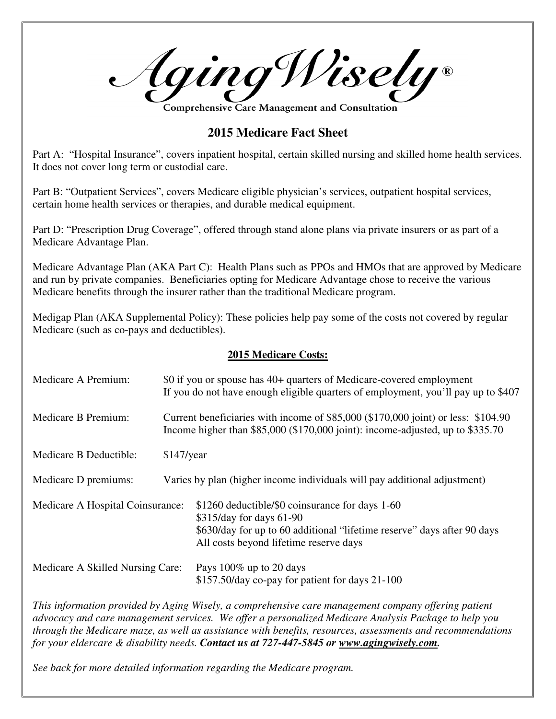Aging Wisely®

Comprehensive Care Management and Consultatior

## **2015 Medicare Fact Sheet**

Part A: "Hospital Insurance", covers inpatient hospital, certain skilled nursing and skilled home health services. It does not cover long term or custodial care.

Part B: "Outpatient Services", covers Medicare eligible physician's services, outpatient hospital services, certain home health services or therapies, and durable medical equipment.

Part D: "Prescription Drug Coverage", offered through stand alone plans via private insurers or as part of a Medicare Advantage Plan.

Medicare Advantage Plan (AKA Part C): Health Plans such as PPOs and HMOs that are approved by Medicare and run by private companies. Beneficiaries opting for Medicare Advantage chose to receive the various Medicare benefits through the insurer rather than the traditional Medicare program.

Medigap Plan (AKA Supplemental Policy): These policies help pay some of the costs not covered by regular Medicare (such as co-pays and deductibles).

## **2015 Medicare Costs:**

| Medicare A Premium:              | \$0 if you or spouse has 40+ quarters of Medicare-covered employment<br>If you do not have enough eligible quarters of employment, you'll pay up to \$407               |                                                                                                                                                                                                  |
|----------------------------------|-------------------------------------------------------------------------------------------------------------------------------------------------------------------------|--------------------------------------------------------------------------------------------------------------------------------------------------------------------------------------------------|
| Medicare B Premium:              | Current beneficiaries with income of \$85,000 (\$170,000 joint) or less: \$104.90<br>Income higher than $$85,000$ ( $$170,000$ joint): income-adjusted, up to $$335.70$ |                                                                                                                                                                                                  |
| Medicare B Deductible:           | $$147$ /year                                                                                                                                                            |                                                                                                                                                                                                  |
| Medicare D premiums:             |                                                                                                                                                                         | Varies by plan (higher income individuals will pay additional adjustment)                                                                                                                        |
| Medicare A Hospital Coinsurance: |                                                                                                                                                                         | \$1260 deductible/\$0 coinsurance for days 1-60<br>\$315/day for days 61-90<br>\$630/day for up to 60 additional "lifetime reserve" days after 90 days<br>All costs beyond lifetime reserve days |
| Medicare A Skilled Nursing Care: |                                                                                                                                                                         | Pays $100\%$ up to 20 days<br>\$157.50/day co-pay for patient for days 21-100                                                                                                                    |

*This information provided by Aging Wisely, a comprehensive care management company offering patient advocacy and care management services. We offer a personalized Medicare Analysis Package to help you through the Medicare maze, as well as assistance with benefits, resources, assessments and recommendations for your eldercare & disability needs. Contact us at 727-447-5845 or www.agingwisely.com.* 

*See back for more detailed information regarding the Medicare program.*